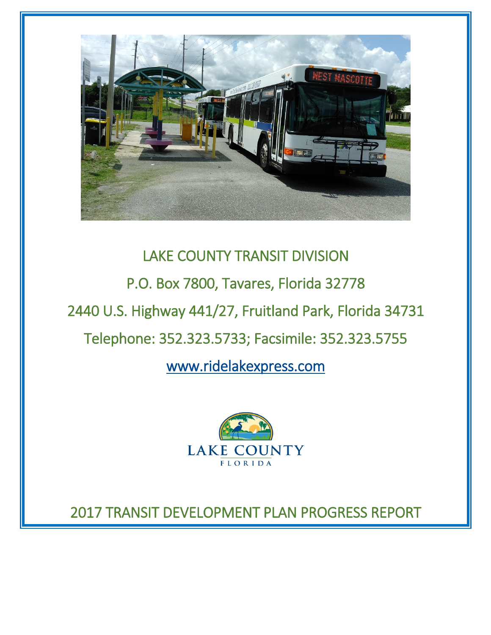

# LAKE COUNTY TRANSIT DIVISION

P.O. Box 7800, Tavares, Florida 32778

2440 U.S. Highway 441/27, Fruitland Park, Florida 34731

# Telephone: 352.323.5733; Facsimile: 352.323.5755

[www.ridelakexpress.com](http://www.ridelakexpress.com/) 



2017 TRANSIT DEVELOPMENT PLAN PROGRESS REPORT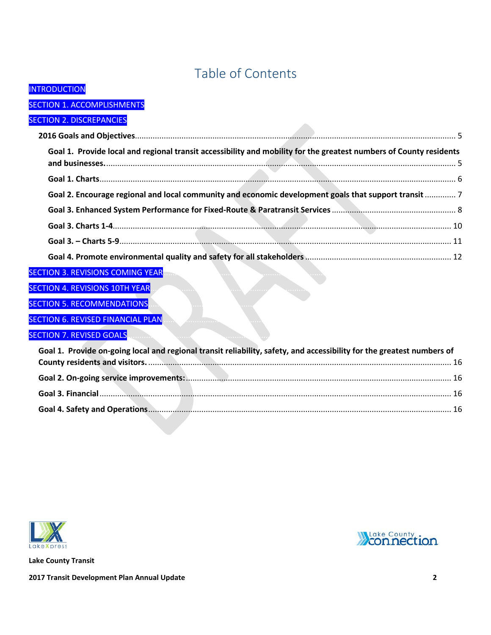# Table of Contents

 $\mathcal{L}$  .

### **INTRODUCTION**

### **SECTION 1. ACCOMPLISHMENTS**

### **SECTION 2. DISCREPANCIES**

| Goal 1. Provide local and regional transit accessibility and mobility for the greatest numbers of County residents     |  |
|------------------------------------------------------------------------------------------------------------------------|--|
|                                                                                                                        |  |
| Goal 2. Encourage regional and local community and economic development goals that support transit  7                  |  |
|                                                                                                                        |  |
|                                                                                                                        |  |
|                                                                                                                        |  |
|                                                                                                                        |  |
| <b>SECTION 3. REVISIONS COMING YEAR</b>                                                                                |  |
| <b>SECTION 4. REVISIONS 10TH YEAR</b>                                                                                  |  |
| <b>SECTION 5. RECOMMENDATIONS</b>                                                                                      |  |
| SECTION 6. REVISED FINANCIAL PLAN                                                                                      |  |
| <b>SECTION 7. REVISED GOALS</b>                                                                                        |  |
| Goal 1. Provide on-going local and regional transit reliability, safety, and accessibility for the greatest numbers of |  |
|                                                                                                                        |  |
|                                                                                                                        |  |
|                                                                                                                        |  |
|                                                                                                                        |  |
|                                                                                                                        |  |
|                                                                                                                        |  |



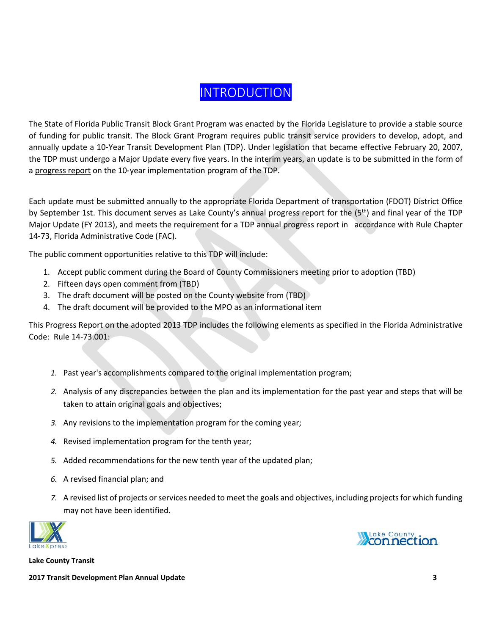# **INTRODUCTION**

<span id="page-2-0"></span>The State of Florida Public Transit Block Grant Program was enacted by the Florida Legislature to provide a stable source of funding for public transit. The Block Grant Program requires public transit service providers to develop, adopt, and annually update a 10‐Year Transit Development Plan (TDP). Under legislation that became effective February 20, 2007, the TDP must undergo a Major Update every five years. In the interim years, an update is to be submitted in the form of a progress report on the 10‐year implementation program of the TDP.

Each update must be submitted annually to the appropriate Florida Department of transportation (FDOT) District Office by September 1st. This document serves as Lake County's annual progress report for the (5th) and final year of the TDP Major Update (FY 2013), and meets the requirement for a TDP annual progress report in accordance with Rule Chapter 14‐73, Florida Administrative Code (FAC).

The public comment opportunities relative to this TDP will include:

- 1. Accept public comment during the Board of County Commissioners meeting prior to adoption (TBD)
- 2. Fifteen days open comment from (TBD)
- 3. The draft document will be posted on the County website from (TBD)
- 4. The draft document will be provided to the MPO as an informational item

This Progress Report on the adopted 2013 TDP includes the following elements as specified in the Florida Administrative Code: Rule 14-73.001:

- *1.* Past year's accomplishments compared to the original implementation program;
- *2.* Analysis of any discrepancies between the plan and its implementation for the past year and steps that will be taken to attain original goals and objectives;
- *3.* Any revisions to the implementation program for the coming year;
- *4.* Revised implementation program for the tenth year;
- *5.* Added recommendations for the new tenth year of the updated plan;
- *6.* A revised financial plan; and
- *7.* A revised list of projects or services needed to meet the goals and objectives, including projects for which funding may not have been identified.





**Lake County Transit**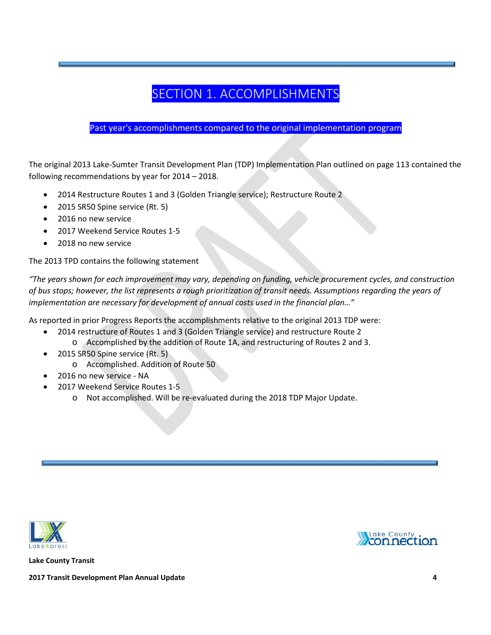# SECTION 1. ACCOMPLISHMENTS

### <span id="page-3-0"></span>Past year's accomplishments compared to the original implementation program

The original 2013 Lake-Sumter Transit Development Plan (TDP) Implementation Plan outlined on page 113 contained the following recommendations by year for 2014 – 2018.

- 2014 Restructure Routes 1 and 3 (Golden Triangle service); Restructure Route 2
- 2015 SR50 Spine service (Rt. 5)
- 2016 no new service
- 2017 Weekend Service Routes 1-5
- 2018 no new service

The 2013 TPD contains the following statement

*"The years shown for each improvement may vary, depending on funding, vehicle procurement cycles, and construction of bus stops; however, the list represents a rough prioritization of transit needs. Assumptions regarding the years of implementation are necessary for development of annual costs used in the financial plan…"*

As reported in prior Progress Reports the accomplishments relative to the original 2013 TDP were:

- 2014 restructure of Routes 1 and 3 (Golden Triangle service) and restructure Route 2
	- o Accomplished by the addition of Route 1A, and restructuring of Routes 2 and 3.
- 2015 SR50 Spine service (Rt. 5)
	- o Accomplished. Addition of Route 50
- 2016 no new service NA
- 2017 Weekend Service Routes 1-5
	- o Not accomplished. Will be re-evaluated during the 2018 TDP Major Update.





**Lake County Transit**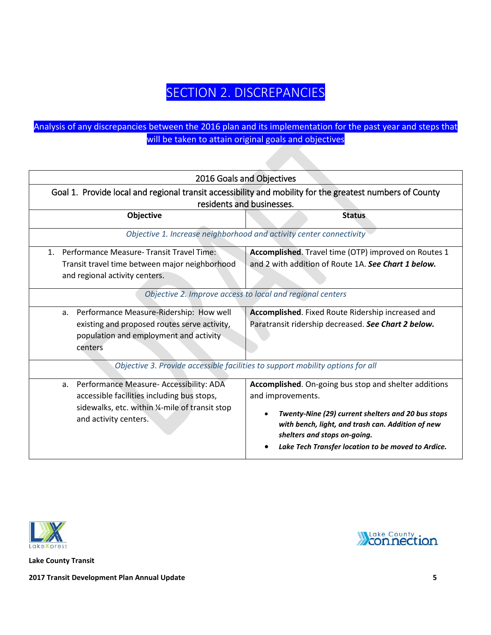# SECTION 2. DISCREPANCIES

### <span id="page-4-0"></span>Analysis of any discrepancies between the 2016 plan and its implementation for the past year and steps that will be taken to attain original goals and objectives

<span id="page-4-2"></span><span id="page-4-1"></span>

| 2016 Goals and Objectives                                                                                                                                                                                                                                      |                                                                                                                                                                                                                                                                             |  |  |  |  |  |
|----------------------------------------------------------------------------------------------------------------------------------------------------------------------------------------------------------------------------------------------------------------|-----------------------------------------------------------------------------------------------------------------------------------------------------------------------------------------------------------------------------------------------------------------------------|--|--|--|--|--|
| Goal 1. Provide local and regional transit accessibility and mobility for the greatest numbers of County<br>residents and businesses.                                                                                                                          |                                                                                                                                                                                                                                                                             |  |  |  |  |  |
| Objective                                                                                                                                                                                                                                                      | <b>Status</b>                                                                                                                                                                                                                                                               |  |  |  |  |  |
|                                                                                                                                                                                                                                                                | Objective 1. Increase neighborhood and activity center connectivity                                                                                                                                                                                                         |  |  |  |  |  |
| 1. Performance Measure-Transit Travel Time:<br>Accomplished. Travel time (OTP) improved on Routes 1<br>and 2 with addition of Route 1A. See Chart 1 below.<br>Transit travel time between major neighborhood<br>and regional activity centers.                 |                                                                                                                                                                                                                                                                             |  |  |  |  |  |
|                                                                                                                                                                                                                                                                | Objective 2. Improve access to local and regional centers                                                                                                                                                                                                                   |  |  |  |  |  |
| Performance Measure-Ridership: How well<br>Accomplished. Fixed Route Ridership increased and<br>a.<br>Paratransit ridership decreased. See Chart 2 below.<br>existing and proposed routes serve activity,<br>population and employment and activity<br>centers |                                                                                                                                                                                                                                                                             |  |  |  |  |  |
|                                                                                                                                                                                                                                                                | Objective 3. Provide accessible facilities to support mobility options for all                                                                                                                                                                                              |  |  |  |  |  |
| Performance Measure- Accessibility: ADA<br>a.<br>accessible facilities including bus stops,<br>sidewalks, etc. within 1/4-mile of transit stop<br>and activity centers.                                                                                        | Accomplished. On-going bus stop and shelter additions<br>and improvements.<br>Twenty-Nine (29) current shelters and 20 bus stops<br>with bench, light, and trash can. Addition of new<br>shelters and stops on-going.<br>Lake Tech Transfer location to be moved to Ardice. |  |  |  |  |  |



**Lake County Transit** 

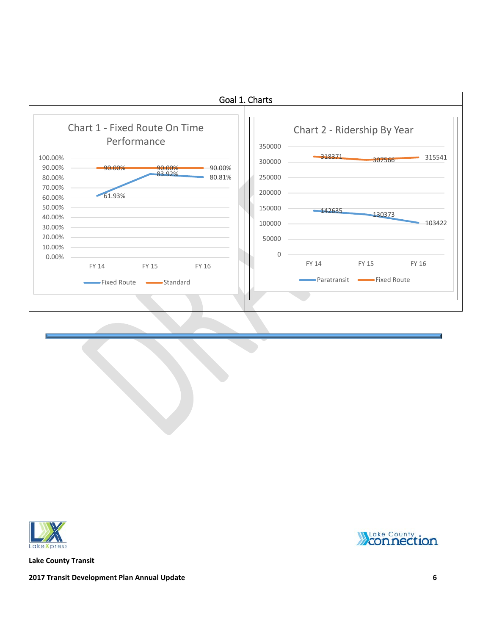<span id="page-5-0"></span>



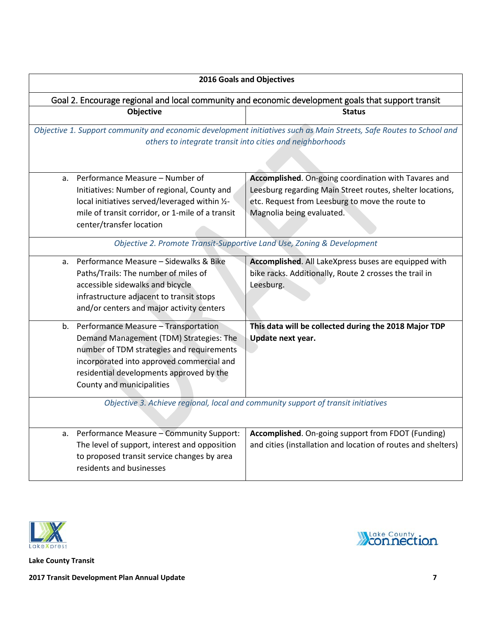<span id="page-6-0"></span>

| <b>2016 Goals and Objectives</b>                                                                                                                                                 |                                                                                                                                                                                                                                                       |                                                                                                                                                                                                   |  |  |  |  |  |
|----------------------------------------------------------------------------------------------------------------------------------------------------------------------------------|-------------------------------------------------------------------------------------------------------------------------------------------------------------------------------------------------------------------------------------------------------|---------------------------------------------------------------------------------------------------------------------------------------------------------------------------------------------------|--|--|--|--|--|
| Goal 2. Encourage regional and local community and economic development goals that support transit                                                                               |                                                                                                                                                                                                                                                       |                                                                                                                                                                                                   |  |  |  |  |  |
|                                                                                                                                                                                  | Objective                                                                                                                                                                                                                                             | <b>Status</b>                                                                                                                                                                                     |  |  |  |  |  |
| Objective 1. Support community and economic development initiatives such as Main Streets, Safe Routes to School and<br>others to integrate transit into cities and neighborhoods |                                                                                                                                                                                                                                                       |                                                                                                                                                                                                   |  |  |  |  |  |
| a.                                                                                                                                                                               | Performance Measure - Number of<br>Initiatives: Number of regional, County and<br>local initiatives served/leveraged within 1/2-<br>mile of transit corridor, or 1-mile of a transit<br>center/transfer location                                      | Accomplished. On-going coordination with Tavares and<br>Leesburg regarding Main Street routes, shelter locations,<br>etc. Request from Leesburg to move the route to<br>Magnolia being evaluated. |  |  |  |  |  |
|                                                                                                                                                                                  |                                                                                                                                                                                                                                                       | Objective 2. Promote Transit-Supportive Land Use, Zoning & Development                                                                                                                            |  |  |  |  |  |
| a.                                                                                                                                                                               | Performance Measure - Sidewalks & Bike<br>Paths/Trails: The number of miles of<br>accessible sidewalks and bicycle<br>infrastructure adjacent to transit stops<br>and/or centers and major activity centers                                           | Accomplished. All LakeXpress buses are equipped with<br>bike racks. Additionally, Route 2 crosses the trail in<br>Leesburg.                                                                       |  |  |  |  |  |
|                                                                                                                                                                                  | b. Performance Measure - Transportation<br>Demand Management (TDM) Strategies: The<br>number of TDM strategies and requirements<br>incorporated into approved commercial and<br>residential developments approved by the<br>County and municipalities | This data will be collected during the 2018 Major TDP<br>Update next year.<br>Objective 3. Achieve regional, local and community support of transit initiatives                                   |  |  |  |  |  |
|                                                                                                                                                                                  |                                                                                                                                                                                                                                                       |                                                                                                                                                                                                   |  |  |  |  |  |
| а.                                                                                                                                                                               | Performance Measure - Community Support:<br>The level of support, interest and opposition<br>to proposed transit service changes by area<br>residents and businesses                                                                                  | Accomplished. On-going support from FDOT (Funding)<br>and cities (installation and location of routes and shelters)                                                                               |  |  |  |  |  |



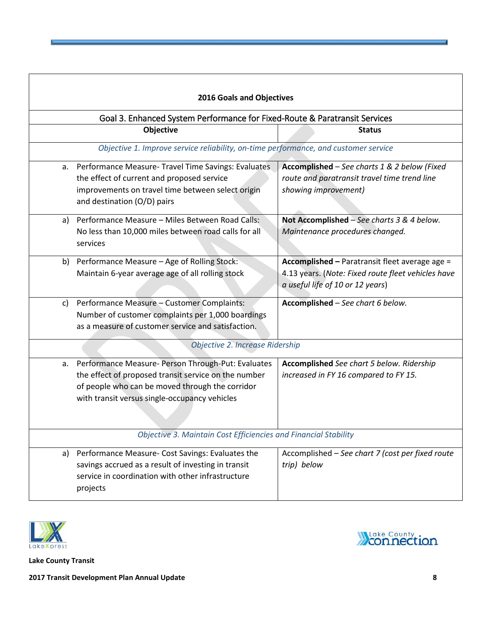<span id="page-7-0"></span>

|                                                                            | 2016 Goals and Objectives                                                                                                                                                                                      |                                                                                                                                          |  |  |  |  |  |  |
|----------------------------------------------------------------------------|----------------------------------------------------------------------------------------------------------------------------------------------------------------------------------------------------------------|------------------------------------------------------------------------------------------------------------------------------------------|--|--|--|--|--|--|
| Goal 3. Enhanced System Performance for Fixed-Route & Paratransit Services |                                                                                                                                                                                                                |                                                                                                                                          |  |  |  |  |  |  |
|                                                                            | Objective                                                                                                                                                                                                      | <b>Status</b>                                                                                                                            |  |  |  |  |  |  |
|                                                                            | Objective 1. Improve service reliability, on-time performance, and customer service                                                                                                                            |                                                                                                                                          |  |  |  |  |  |  |
| а.                                                                         | Performance Measure- Travel Time Savings: Evaluates<br>the effect of current and proposed service<br>improvements on travel time between select origin<br>and destination (O/D) pairs                          | Accomplished - See charts 1 & 2 below (Fixed<br>route and paratransit travel time trend line<br>showing improvement)                     |  |  |  |  |  |  |
| a)                                                                         | Performance Measure - Miles Between Road Calls:<br>No less than 10,000 miles between road calls for all<br>services                                                                                            | Not Accomplished - See charts 3 & 4 below.<br>Maintenance procedures changed.                                                            |  |  |  |  |  |  |
| b)                                                                         | Performance Measure - Age of Rolling Stock:<br>Maintain 6-year average age of all rolling stock                                                                                                                | Accomplished - Paratransit fleet average age =<br>4.13 years. (Note: Fixed route fleet vehicles have<br>a useful life of 10 or 12 years) |  |  |  |  |  |  |
| c)                                                                         | Performance Measure - Customer Complaints:<br>Number of customer complaints per 1,000 boardings<br>as a measure of customer service and satisfaction.                                                          | Accomplished - See chart 6 below.                                                                                                        |  |  |  |  |  |  |
|                                                                            | Objective 2. Increase Ridership                                                                                                                                                                                |                                                                                                                                          |  |  |  |  |  |  |
| a.                                                                         | Performance Measure- Person Through-Put: Evaluates<br>the effect of proposed transit service on the number<br>of people who can be moved through the corridor<br>with transit versus single-occupancy vehicles | Accomplished See chart 5 below. Ridership<br>increased in FY 16 compared to FY 15.                                                       |  |  |  |  |  |  |
|                                                                            | Objective 3. Maintain Cost Efficiencies and Financial Stability                                                                                                                                                |                                                                                                                                          |  |  |  |  |  |  |
| a)                                                                         | Performance Measure- Cost Savings: Evaluates the<br>savings accrued as a result of investing in transit<br>service in coordination with other infrastructure<br>projects                                       | Accomplished - See chart 7 (cost per fixed route<br>trip) below                                                                          |  |  |  |  |  |  |





**Lake County Transit**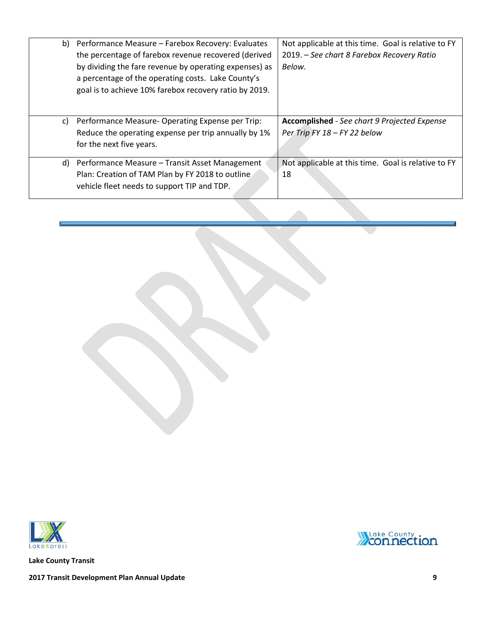| b) Performance Measure - Farebox Recovery: Evaluates   | Not applicable at this time. Goal is relative to FY |  |  |  |  |
|--------------------------------------------------------|-----------------------------------------------------|--|--|--|--|
| the percentage of farebox revenue recovered (derived   | 2019. – See chart 8 Farebox Recovery Ratio          |  |  |  |  |
| by dividing the fare revenue by operating expenses) as | Below.                                              |  |  |  |  |
| a percentage of the operating costs. Lake County's     |                                                     |  |  |  |  |
| goal is to achieve 10% farebox recovery ratio by 2019. |                                                     |  |  |  |  |
|                                                        |                                                     |  |  |  |  |
|                                                        |                                                     |  |  |  |  |
| c) Performance Measure-Operating Expense per Trip:     | <b>Accomplished</b> - See chart 9 Projected Expense |  |  |  |  |
| Reduce the operating expense per trip annually by 1%   | Per Trip FY 18 - FY 22 below                        |  |  |  |  |
| for the next five years.                               |                                                     |  |  |  |  |
|                                                        |                                                     |  |  |  |  |
| d) Performance Measure – Transit Asset Management      | Not applicable at this time. Goal is relative to FY |  |  |  |  |
| Plan: Creation of TAM Plan by FY 2018 to outline       | 18                                                  |  |  |  |  |
| vehicle fleet needs to support TIP and TDP.            |                                                     |  |  |  |  |
|                                                        |                                                     |  |  |  |  |



**Lake County Transit**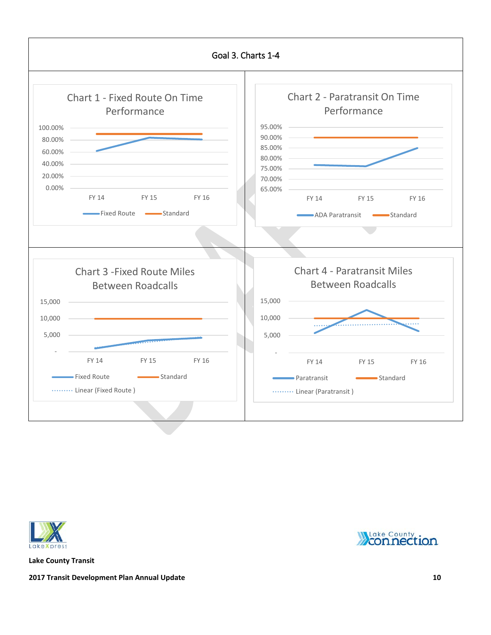<span id="page-9-0"></span>



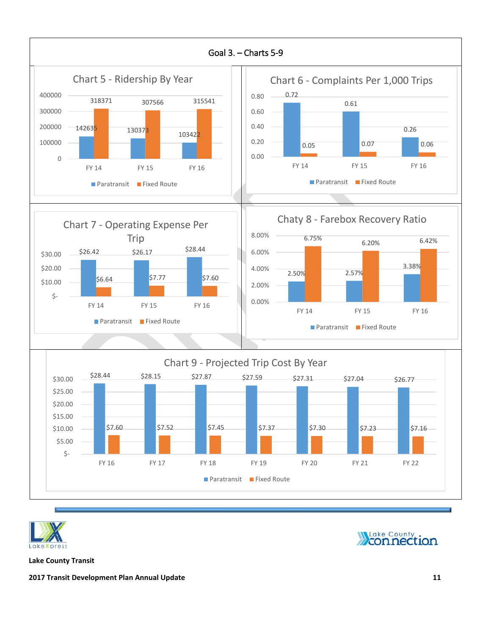<span id="page-10-0"></span>



**Wake County** 

**Lake County Transit**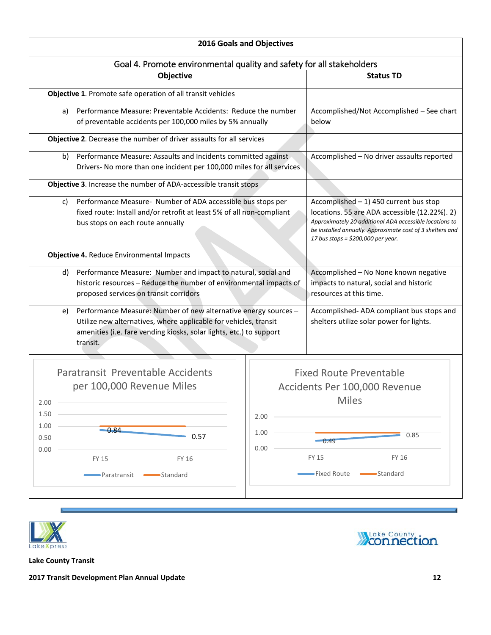<span id="page-11-0"></span>

| <b>2016 Goals and Objectives</b>                                                                                                                                                                                             |                                                                                 |                                                                                                                                                                                                                                                         |  |  |  |  |  |
|------------------------------------------------------------------------------------------------------------------------------------------------------------------------------------------------------------------------------|---------------------------------------------------------------------------------|---------------------------------------------------------------------------------------------------------------------------------------------------------------------------------------------------------------------------------------------------------|--|--|--|--|--|
| Goal 4. Promote environmental quality and safety for all stakeholders                                                                                                                                                        |                                                                                 |                                                                                                                                                                                                                                                         |  |  |  |  |  |
| Objective                                                                                                                                                                                                                    |                                                                                 | <b>Status TD</b>                                                                                                                                                                                                                                        |  |  |  |  |  |
| Objective 1. Promote safe operation of all transit vehicles                                                                                                                                                                  |                                                                                 |                                                                                                                                                                                                                                                         |  |  |  |  |  |
| Performance Measure: Preventable Accidents: Reduce the number<br>a)<br>of preventable accidents per 100,000 miles by 5% annually                                                                                             | below                                                                           | Accomplished/Not Accomplished - See chart                                                                                                                                                                                                               |  |  |  |  |  |
| Objective 2. Decrease the number of driver assaults for all services                                                                                                                                                         |                                                                                 |                                                                                                                                                                                                                                                         |  |  |  |  |  |
| Performance Measure: Assaults and Incidents committed against<br>b)<br>Drivers- No more than one incident per 100,000 miles for all services                                                                                 |                                                                                 | Accomplished - No driver assaults reported                                                                                                                                                                                                              |  |  |  |  |  |
| Objective 3. Increase the number of ADA-accessible transit stops                                                                                                                                                             |                                                                                 |                                                                                                                                                                                                                                                         |  |  |  |  |  |
| Performance Measure- Number of ADA accessible bus stops per<br>c)<br>fixed route: Install and/or retrofit at least 5% of all non-compliant<br>bus stops on each route annually                                               |                                                                                 | Accomplished $-1$ ) 450 current bus stop<br>locations. 55 are ADA accessible (12.22%). 2)<br>Approximately 20 additional ADA accessible locations to<br>be installed annually. Approximate cost of 3 shelters and<br>17 bus stops = \$200,000 per year. |  |  |  |  |  |
| Objective 4. Reduce Environmental Impacts                                                                                                                                                                                    |                                                                                 |                                                                                                                                                                                                                                                         |  |  |  |  |  |
| Performance Measure: Number and impact to natural, social and<br>d)<br>historic resources - Reduce the number of environmental impacts of<br>proposed services on transit corridors                                          |                                                                                 | Accomplished - No None known negative<br>impacts to natural, social and historic<br>resources at this time.                                                                                                                                             |  |  |  |  |  |
| Performance Measure: Number of new alternative energy sources -<br>e)<br>Utilize new alternatives, where applicable for vehicles, transit<br>amenities (i.e. fare vending kiosks, solar lights, etc.) to support<br>transit. |                                                                                 | Accomplished-ADA compliant bus stops and<br>shelters utilize solar power for lights.                                                                                                                                                                    |  |  |  |  |  |
| Paratransit Preventable Accidents<br>per 100,000 Revenue Miles<br>2.00                                                                                                                                                       | <b>Fixed Route Preventable</b><br>Accidents Per 100,000 Revenue<br><b>Miles</b> |                                                                                                                                                                                                                                                         |  |  |  |  |  |
| 1.50<br>1.00<br>$-0.84$<br>0.57<br>0.50<br>0.00                                                                                                                                                                              | 2.00<br>1.00<br>$-0.49$<br>0.00                                                 | 0.85                                                                                                                                                                                                                                                    |  |  |  |  |  |
| FY 15<br>FY 16<br>Standard<br>Paratransit                                                                                                                                                                                    | <b>FY 15</b><br>FY 16<br>Standard<br>►Fixed Route                               |                                                                                                                                                                                                                                                         |  |  |  |  |  |





**Lake County Transit** 

N

**2017 Transit Development Plan Annual Update 12**

7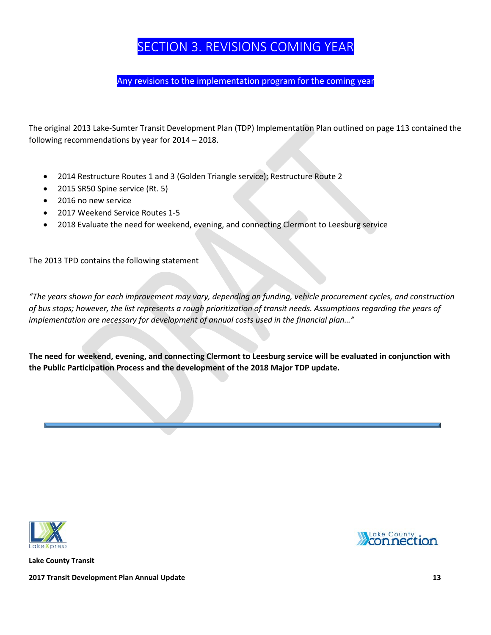# SECTION 3. REVISIONS COMING YEAR

Any revisions to the implementation program for the coming year

<span id="page-12-0"></span>The original 2013 Lake-Sumter Transit Development Plan (TDP) Implementation Plan outlined on page 113 contained the following recommendations by year for 2014 – 2018.

- 2014 Restructure Routes 1 and 3 (Golden Triangle service); Restructure Route 2
- 2015 SR50 Spine service (Rt. 5)
- 2016 no new service
- 2017 Weekend Service Routes 1-5
- 2018 Evaluate the need for weekend, evening, and connecting Clermont to Leesburg service

The 2013 TPD contains the following statement

*"The years shown for each improvement may vary, depending on funding, vehicle procurement cycles, and construction of bus stops; however, the list represents a rough prioritization of transit needs. Assumptions regarding the years of implementation are necessary for development of annual costs used in the financial plan…"*

**The need for weekend, evening, and connecting Clermont to Leesburg service will be evaluated in conjunction with the Public Participation Process and the development of the 2018 Major TDP update.** 



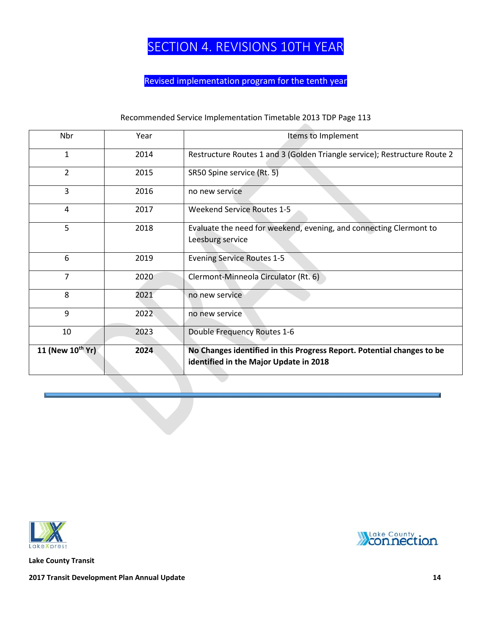# SECTION 4. REVISIONS 10TH YEAR

### Revised implementation program for the tenth year

### Recommended Service Implementation Timetable 2013 TDP Page 113

<span id="page-13-0"></span>

| Nbr              | Year | Items to Implement                                                                                               |
|------------------|------|------------------------------------------------------------------------------------------------------------------|
| $\mathbf{1}$     | 2014 | Restructure Routes 1 and 3 (Golden Triangle service); Restructure Route 2                                        |
| $\overline{2}$   | 2015 | SR50 Spine service (Rt. 5)                                                                                       |
| 3                | 2016 | no new service                                                                                                   |
| 4                | 2017 | <b>Weekend Service Routes 1-5</b>                                                                                |
| 5                | 2018 | Evaluate the need for weekend, evening, and connecting Clermont to<br>Leesburg service                           |
| 6                | 2019 | <b>Evening Service Routes 1-5</b>                                                                                |
| $\overline{7}$   | 2020 | Clermont-Minneola Circulator (Rt. 6)                                                                             |
| 8                | 2021 | no new service                                                                                                   |
| 9                | 2022 | no new service                                                                                                   |
| 10               | 2023 | Double Frequency Routes 1-6                                                                                      |
| 11 (New 10th Yr) | 2024 | No Changes identified in this Progress Report. Potential changes to be<br>identified in the Major Update in 2018 |



**Lake County Transit** 

**MLake County**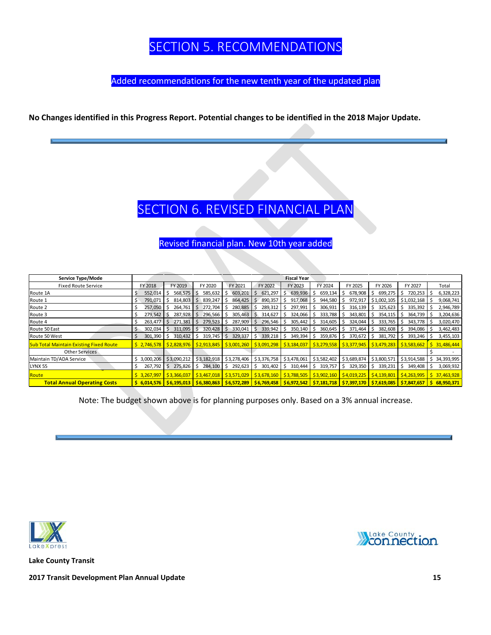# SECTION 5. RECOMMENDATIONS

Added recommendations for the new tenth year of the updated plan

#### <span id="page-14-1"></span><span id="page-14-0"></span>**No Changes identified in this Progress Report. Potential changes to be identified in the 2018 Major Update.**

### SECTION 6. REVISED FINANCIAL PLAN

Revised financial plan. New 10th year added

| Service Type/Mode                              | <b>Fiscal Year</b>                                                                                                                         |              |              |                 |               |              |               |                          |                                                                                                               |                |                                                                                                                                                           |
|------------------------------------------------|--------------------------------------------------------------------------------------------------------------------------------------------|--------------|--------------|-----------------|---------------|--------------|---------------|--------------------------|---------------------------------------------------------------------------------------------------------------|----------------|-----------------------------------------------------------------------------------------------------------------------------------------------------------|
| <b>Fixed Route Service</b>                     | FY 2018                                                                                                                                    | FY 2019      | FY 2020      | FY 2021         | FY 2022       | FY 2023      | FY 2024       | FY 2025                  | FY 2026                                                                                                       | FY 2027        | Total                                                                                                                                                     |
| Route 1A                                       | 552,014                                                                                                                                    | 568,575      | 585,632      | 603,201<br>∶I S | 621,297       | 639,936      | 659,134       | 678,908                  | 699,275<br>-S                                                                                                 | 720,253<br>-S  | 6,328,223                                                                                                                                                 |
| Route 1                                        | 791,071<br>S.                                                                                                                              | 814,803      | 839,247      | 864,425<br>-S   | 890,357<br>S. | 917,068<br>s | 944,580<br>-S | 972,917                  | \$1,002,105                                                                                                   | \$1,032,168    | 9,068,741                                                                                                                                                 |
| Route 2                                        | 257,050<br>S                                                                                                                               | 264,761      | 272,704      | 280,885         | 289,312       | 297,991      | 306,931<br>-S | $316,139$ $\mid$ \$<br>s | 325,623                                                                                                       | 335,392<br>I\$ | 2,946,789                                                                                                                                                 |
| Route 3                                        | 279,542                                                                                                                                    | 287,928      | 296,566 \$   | 305,463         | 314,627       | 324,066      | 333,788<br>-S | 343,801                  | 354,115<br>l S                                                                                                | 364,739<br>l S | 3,204,636                                                                                                                                                 |
| Route 4                                        | 263,477                                                                                                                                    | 271,381      | 279,523      | 287,909         | 296,546       | 305,442      | 314,605<br>-S | 324,044<br>S             | 333,765<br>-S                                                                                                 | 343,778<br>IS. | 3,020,470                                                                                                                                                 |
| Route 50 East                                  | 302,034                                                                                                                                    | 311,095      | 320,428      | 330,041         | 339,942       | 350,140      | 360,645<br>-S | 371,464<br>S.            | $382,608$ \$<br>l S                                                                                           | 394,086        | 3,462,483                                                                                                                                                 |
| Route 50 West                                  | 301,390<br>S.                                                                                                                              | 310,432      | $319,745$ \$ | 329,337         | 339,218<br>S. | 349,394      | 359,876<br>S. | $370,672$ \$<br>S.       | 381,792                                                                                                       | 393,246<br>l S | 3,455,103                                                                                                                                                 |
| <b>Sub Total Maintain Existing Fixed Route</b> |                                                                                                                                            |              |              |                 |               |              |               |                          |                                                                                                               |                | \$2,928,976   \$2,828,976   \$2,913,845   \$3,001,260   \$3,091,298   \$3,184,037   \$3,279,558   \$3,377,945   \$3,479,283   \$3,583,662   \$ 31,486,444 |
| Other Services                                 |                                                                                                                                            |              |              |                 |               |              |               |                          |                                                                                                               |                |                                                                                                                                                           |
| Maintain TD/ADA Service                        | \$3,000,206                                                                                                                                | \$3,090,212  |              |                 |               |              |               |                          | \$3,182,918   \$3,278,406   \$3,376,758   \$3,478,061   \$3,582,402   \$3,689,874   \$3,800,571   \$3,914,588 |                | \$34,393,995                                                                                                                                              |
| <b>LYNX 55</b>                                 | 267,792<br>S                                                                                                                               | $275,826$ \$ | 284,100 \$   | 292,623         | $301,402$ \$  | 310,444 \$   | 319,757       | 329,350<br>S.            | 339,231<br>l S                                                                                                | 349,408<br>I\$ | 3,069,932                                                                                                                                                 |
| Route                                          |                                                                                                                                            |              |              |                 |               |              |               |                          |                                                                                                               |                | \$3,467,019 \$3,366,037 \$3,467,018 \$3,571,029 \$3,678,160 \$3,788,505 \$3,902,160 \$4,019,225 \$4,139,801 \$4,263,995 \$37,463,928                      |
| <b>Total Annual Operating Costs</b>            | <u>\$6,014,576  \$6,195,013  \$6,380,863  \$6,572,289  \$6,769,458  \$6,972,542  \$7,181,718  \$7,397,170  \$7,619,085  \$7,847,657 \$</u> |              |              |                 |               |              |               |                          |                                                                                                               |                | 568,950,371                                                                                                                                               |

Note: The budget shown above is for planning purposes only. Based on a 3% annual increase.



**Lake County Transit**